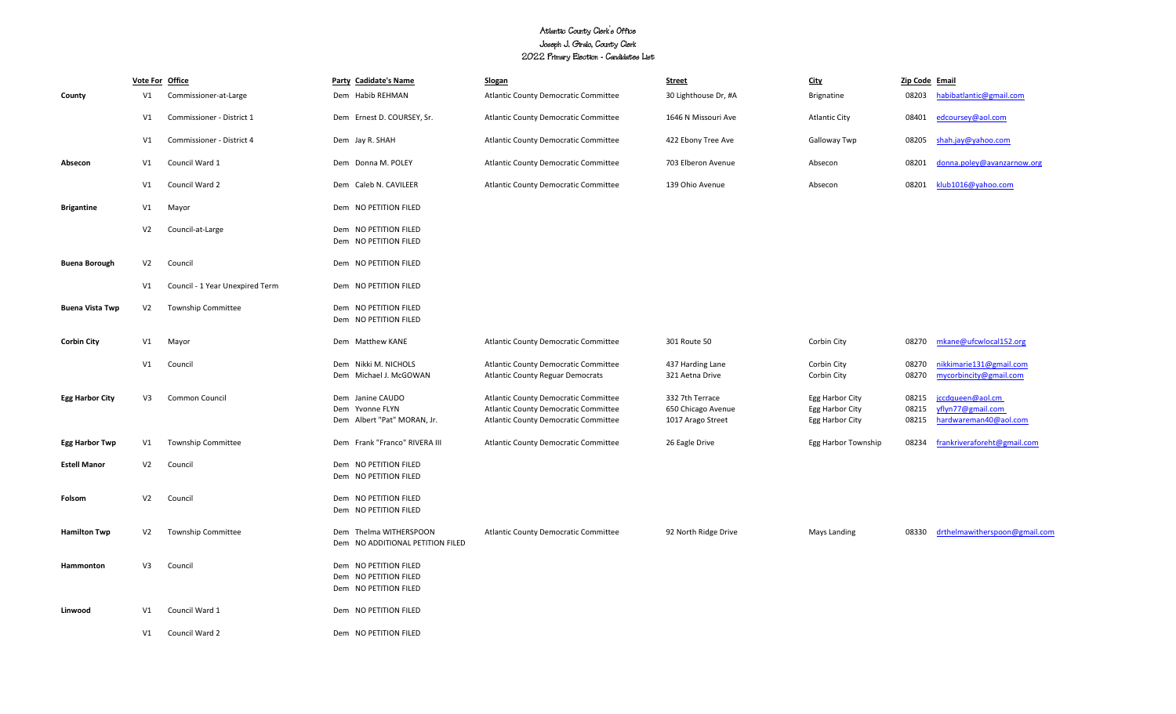## Atlantic County Clerk's Office Joseph J. Giralo, County Clerk 2022 Primary Election - Candidates List

|                        |                | Vote For Office                 | Party Cadidate's Name                                                   | <b>Slogan</b>                                                                                                                             | <b>Street</b>                                              | <b>City</b>                                           | Zip Code Email          |                                                                |
|------------------------|----------------|---------------------------------|-------------------------------------------------------------------------|-------------------------------------------------------------------------------------------------------------------------------------------|------------------------------------------------------------|-------------------------------------------------------|-------------------------|----------------------------------------------------------------|
| County                 | V1             | Commissioner-at-Large           | Dem Habib REHMAN                                                        | <b>Atlantic County Democratic Committee</b>                                                                                               | 30 Lighthouse Dr, #A                                       | <b>Brignatine</b>                                     | 08203                   | habibatlantic@gmail.com                                        |
|                        | V1             | Commissioner - District 1       | Dem Ernest D. COURSEY, Sr.                                              | <b>Atlantic County Democratic Committee</b>                                                                                               | 1646 N Missouri Ave                                        | <b>Atlantic City</b>                                  | 08401                   | edcoursey@aol.com                                              |
|                        | V1             | Commissioner - District 4       | Dem Jay R. SHAH                                                         | <b>Atlantic County Democratic Committee</b>                                                                                               | 422 Ebony Tree Ave                                         | Galloway Twp                                          | 08205                   | shah.jay@yahoo.com                                             |
| Absecon                | V1             | Council Ward 1                  | Dem Donna M. POLEY                                                      | Atlantic County Democratic Committee                                                                                                      | 703 Elberon Avenue                                         | Absecon                                               | 08201                   | donna.poley@avanzarnow.org                                     |
|                        | V1             | Council Ward 2                  | Dem Caleb N. CAVILEER                                                   | Atlantic County Democratic Committee                                                                                                      | 139 Ohio Avenue                                            | Absecon                                               | 08201                   | klub1016@yahoo.com                                             |
| <b>Brigantine</b>      | V1             | Mayor                           | Dem NO PETITION FILED                                                   |                                                                                                                                           |                                                            |                                                       |                         |                                                                |
|                        | V <sub>2</sub> | Council-at-Large                | Dem NO PETITION FILED<br>Dem NO PETITION FILED                          |                                                                                                                                           |                                                            |                                                       |                         |                                                                |
| <b>Buena Borough</b>   | V <sub>2</sub> | Council                         | Dem NO PETITION FILED                                                   |                                                                                                                                           |                                                            |                                                       |                         |                                                                |
|                        | V1             | Council - 1 Year Unexpired Term | Dem NO PETITION FILED                                                   |                                                                                                                                           |                                                            |                                                       |                         |                                                                |
| <b>Buena Vista Twp</b> | V <sub>2</sub> | Township Committee              | Dem NO PETITION FILED<br>Dem NO PETITION FILED                          |                                                                                                                                           |                                                            |                                                       |                         |                                                                |
| <b>Corbin City</b>     | V1             | Mayor                           | Dem Matthew KANE                                                        | Atlantic County Democratic Committee                                                                                                      | 301 Route 50                                               | Corbin City                                           | 08270                   | mkane@ufcwlocal152.org                                         |
|                        | V1             | Council                         | Dem Nikki M. NICHOLS<br>Dem Michael J. McGOWAN                          | Atlantic County Democratic Committee<br><b>Atlantic County Reguar Democrats</b>                                                           | 437 Harding Lane<br>321 Aetna Drive                        | Corbin City<br>Corbin City                            | 08270<br>08270          | nikkimarie131@gmail.com<br>mycorbincity@gmail.com              |
| <b>Egg Harbor City</b> | V <sub>3</sub> | <b>Common Council</b>           | Dem Janine CAUDO<br>Dem Yvonne FLYN<br>Dem Albert "Pat" MORAN, Jr.      | <b>Atlantic County Democratic Committee</b><br><b>Atlantic County Democratic Committee</b><br><b>Atlantic County Democratic Committee</b> | 332 7th Terrace<br>650 Chicago Avenue<br>1017 Arago Street | Egg Harbor City<br>Egg Harbor City<br>Egg Harbor City | 08215<br>08215<br>08215 | jccdqueen@aol.cm<br>yflyn77@gmail.com<br>hardwareman40@aol.com |
| <b>Egg Harbor Twp</b>  | V1             | <b>Township Committee</b>       | Dem Frank "Franco" RIVERA III                                           | <b>Atlantic County Democratic Committee</b>                                                                                               | 26 Eagle Drive                                             | Egg Harbor Township                                   | 08234                   | frankriveraforeht@gmail.com                                    |
| <b>Estell Manor</b>    | V <sub>2</sub> | Council                         | Dem NO PETITION FILED<br>Dem NO PETITION FILED                          |                                                                                                                                           |                                                            |                                                       |                         |                                                                |
| Folsom                 | V <sub>2</sub> | Council                         | Dem NO PETITION FILED<br>Dem NO PETITION FILED                          |                                                                                                                                           |                                                            |                                                       |                         |                                                                |
| <b>Hamilton Twp</b>    | V <sub>2</sub> | <b>Township Committee</b>       | Dem Thelma WITHERSPOON<br>Dem NO ADDITIONAL PETITION FILED              | <b>Atlantic County Democratic Committee</b>                                                                                               | 92 North Ridge Drive                                       | Mays Landing                                          | 08330                   | drthelmawitherspoon@gmail.com                                  |
| Hammonton              | V3             | Council                         | Dem NO PETITION FILED<br>Dem NO PETITION FILED<br>Dem NO PETITION FILED |                                                                                                                                           |                                                            |                                                       |                         |                                                                |
| Linwood                | V1             | Council Ward 1                  | Dem NO PETITION FILED                                                   |                                                                                                                                           |                                                            |                                                       |                         |                                                                |
|                        | V1             | Council Ward 2                  | Dem NO PETITION FILED                                                   |                                                                                                                                           |                                                            |                                                       |                         |                                                                |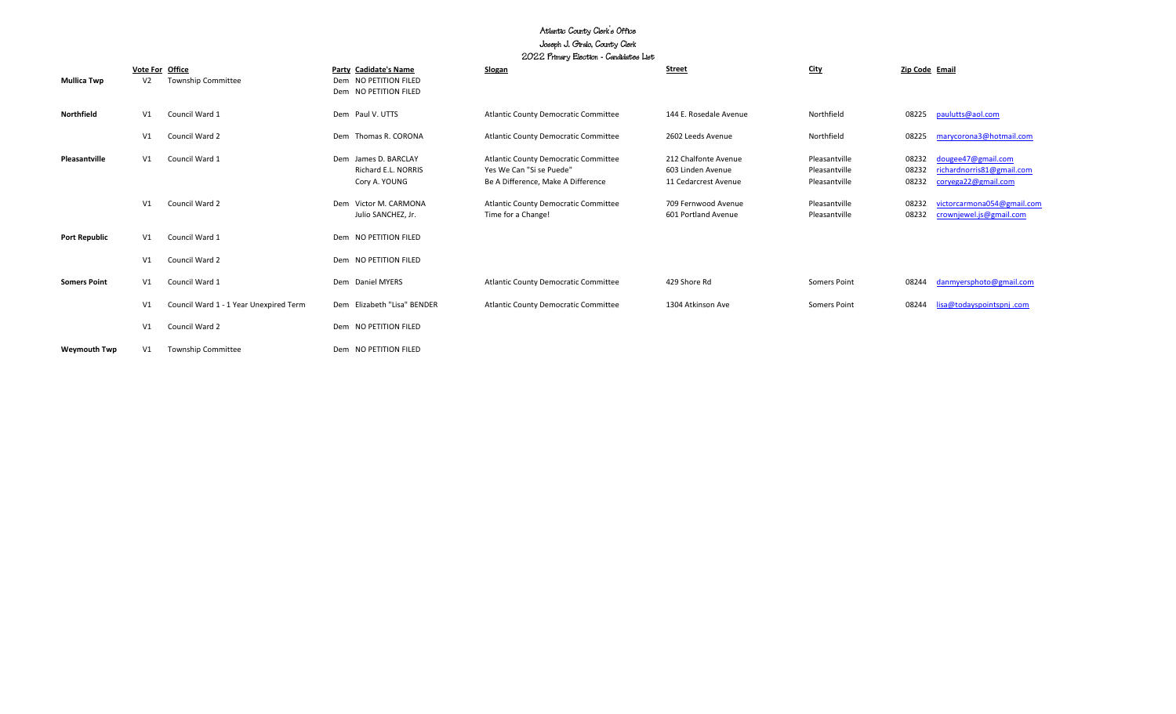## Atlantic County Clerk's Office Joseph J. Giralo, County Clerk 2022 Primary Election - Candidates List

|                      |                |                                              | $100$ $100$ $100$ $100$ $100$ $100$ $100$ $100$                         |                                                                                                               |                                                                   |                                                 |                         |                                                                        |
|----------------------|----------------|----------------------------------------------|-------------------------------------------------------------------------|---------------------------------------------------------------------------------------------------------------|-------------------------------------------------------------------|-------------------------------------------------|-------------------------|------------------------------------------------------------------------|
| <b>Mullica Twp</b>   | V <sub>2</sub> | Vote For Office<br><b>Township Committee</b> | Party Cadidate's Name<br>Dem NO PETITION FILED<br>Dem NO PETITION FILED | Slogan                                                                                                        | <b>Street</b>                                                     | City                                            | Zip Code Email          |                                                                        |
| Northfield           | V1             | Council Ward 1                               | Dem Paul V. UTTS                                                        | <b>Atlantic County Democratic Committee</b>                                                                   | 144 E. Rosedale Avenue                                            | Northfield                                      | 08225                   | paulutts@aol.com                                                       |
|                      | V1             | Council Ward 2                               | Dem Thomas R. CORONA                                                    | <b>Atlantic County Democratic Committee</b>                                                                   | 2602 Leeds Avenue                                                 | Northfield                                      | 08225                   | marycorona3@hotmail.com                                                |
| Pleasantville        | V1             | Council Ward 1                               | Dem James D. BARCLAY<br>Richard E.L. NORRIS<br>Cory A. YOUNG            | <b>Atlantic County Democratic Committee</b><br>Yes We Can "Si se Puede"<br>Be A Difference, Make A Difference | 212 Chalfonte Avenue<br>603 Linden Avenue<br>11 Cedarcrest Avenue | Pleasantville<br>Pleasantville<br>Pleasantville | 08232<br>08232<br>08232 | dougee47@gmail.com<br>richardnorris81@gmail.com<br>coryega22@gmail.com |
|                      | V1             | Council Ward 2                               | Dem Victor M. CARMONA<br>Julio SANCHEZ, Jr.                             | <b>Atlantic County Democratic Committee</b><br>Time for a Change!                                             | 709 Fernwood Avenue<br>601 Portland Avenue                        | Pleasantville<br>Pleasantville                  | 08232<br>08232          | victorcarmona054@gmail.com<br>crownjewel.js@gmail.com                  |
| <b>Port Republic</b> | V1             | Council Ward 1                               | Dem NO PETITION FILED                                                   |                                                                                                               |                                                                   |                                                 |                         |                                                                        |
|                      | V1             | Council Ward 2                               | Dem NO PETITION FILED                                                   |                                                                                                               |                                                                   |                                                 |                         |                                                                        |
| <b>Somers Point</b>  | V1             | Council Ward 1                               | Dem Daniel MYERS                                                        | <b>Atlantic County Democratic Committee</b>                                                                   | 429 Shore Rd                                                      | Somers Point                                    | 08244                   | danmyersphoto@gmail.com                                                |
|                      | V1             | Council Ward 1 - 1 Year Unexpired Term       | Dem Elizabeth "Lisa" BENDER                                             | <b>Atlantic County Democratic Committee</b>                                                                   | 1304 Atkinson Ave                                                 | Somers Point                                    | 08244                   | lisa@todayspointspnj.com                                               |
|                      | V1             | Council Ward 2                               | Dem NO PETITION FILED                                                   |                                                                                                               |                                                                   |                                                 |                         |                                                                        |
| <b>Weymouth Twp</b>  | V1             | <b>Township Committee</b>                    | Dem NO PETITION FILED                                                   |                                                                                                               |                                                                   |                                                 |                         |                                                                        |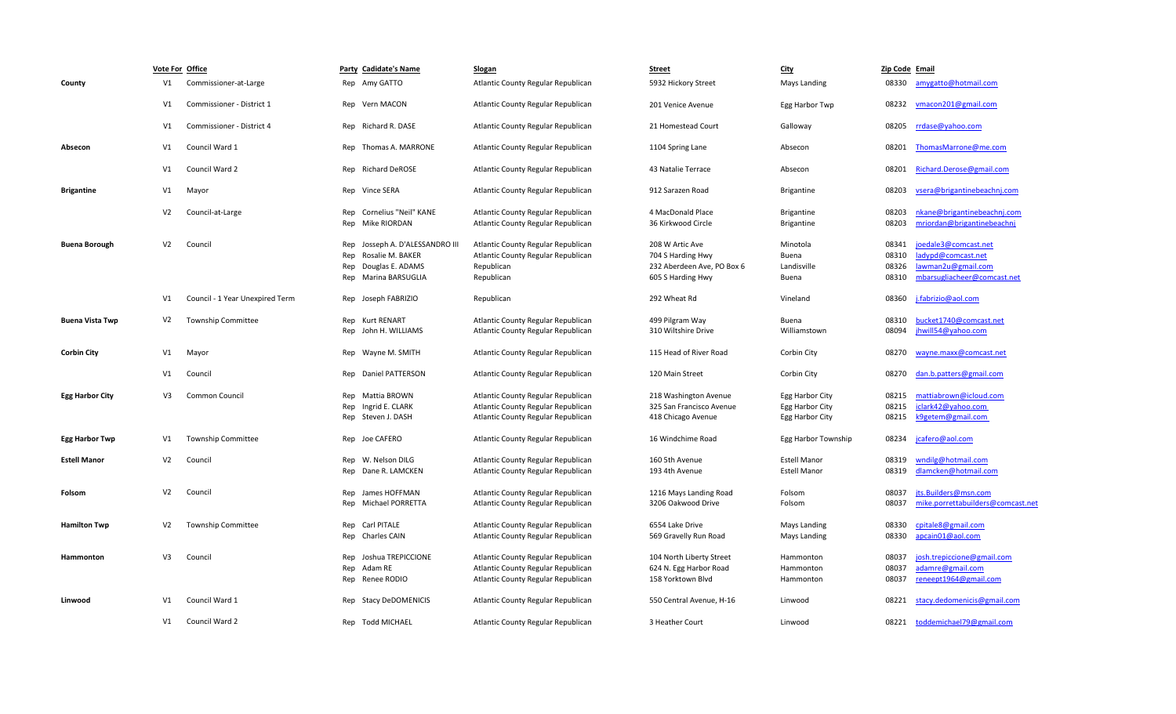|                        |                | Vote For Office                 | Party Cadidate's Name                                                                                      | <b>Slogan</b>                                                                                                  | <b>Street</b>                                                                           | <b>City</b>                                           | Zip Code Email                   |                                                                                                 |
|------------------------|----------------|---------------------------------|------------------------------------------------------------------------------------------------------------|----------------------------------------------------------------------------------------------------------------|-----------------------------------------------------------------------------------------|-------------------------------------------------------|----------------------------------|-------------------------------------------------------------------------------------------------|
| County                 | V1             | Commissioner-at-Large           | Rep Amy GATTO                                                                                              | Atlantic County Regular Republican                                                                             | 5932 Hickory Street                                                                     | Mays Landing                                          | 08330                            | amygatto@hotmail.com                                                                            |
|                        | V <sub>1</sub> | Commissioner - District 1       | Rep Vern MACON                                                                                             | Atlantic County Regular Republican                                                                             | 201 Venice Avenue                                                                       | Egg Harbor Twp                                        | 08232                            | vmacon201@gmail.com                                                                             |
|                        | V1             | Commissioner - District 4       | Rep Richard R. DASE                                                                                        | Atlantic County Regular Republican                                                                             | 21 Homestead Court                                                                      | Galloway                                              | 08205                            | rrdase@yahoo.com                                                                                |
| Absecon                | V1             | Council Ward 1                  | Rep Thomas A. MARRONE                                                                                      | Atlantic County Regular Republican                                                                             | 1104 Spring Lane                                                                        | Absecon                                               | 08201                            | ThomasMarrone@me.com                                                                            |
|                        | V <sub>1</sub> | Council Ward 2                  | Rep Richard DeROSE                                                                                         | Atlantic County Regular Republican                                                                             | 43 Natalie Terrace                                                                      | Absecon                                               | 08201                            | Richard.Derose@gmail.com                                                                        |
| <b>Brigantine</b>      | V1             | Mayor                           | Rep Vince SERA                                                                                             | Atlantic County Regular Republican                                                                             | 912 Sarazen Road                                                                        | <b>Brigantine</b>                                     | 08203                            | vsera@brigantinebeachni.com                                                                     |
|                        | V <sub>2</sub> | Council-at-Large                | Cornelius "Neil" KANE<br>Rep<br>Rep Mike RIORDAN                                                           | Atlantic County Regular Republican<br>Atlantic County Regular Republican                                       | 4 MacDonald Place<br>36 Kirkwood Circle                                                 | <b>Brigantine</b><br><b>Brigantine</b>                | 08203<br>08203                   | nkane@brigantinebeachnj.com<br>mriordan@brigantinebeachni                                       |
| <b>Buena Borough</b>   | V <sub>2</sub> | Council                         | Rep Josseph A. D'ALESSANDRO III<br>Rep<br>Rosalie M. BAKER<br>Rep Douglas E. ADAMS<br>Rep Marina BARSUGLIA | Atlantic County Regular Republican<br>Atlantic County Regular Republican<br>Republican<br>Republican           | 208 W Artic Ave<br>704 S Harding Hwy<br>232 Aberdeen Ave, PO Box 6<br>605 S Harding Hwy | Minotola<br>Buena<br>Landisville<br>Buena             | 08341<br>08310<br>08326<br>08310 | joedale3@comcast.net<br>ladypd@comcast.net<br>lawman2u@gmail.com<br>mbarsugliacheer@comcast.net |
|                        | V1             | Council - 1 Year Unexpired Term | Rep Joseph FABRIZIO                                                                                        | Republican                                                                                                     | 292 Wheat Rd                                                                            | Vineland                                              | 08360                            | j.fabrizio@aol.com                                                                              |
| <b>Buena Vista Twp</b> | V <sub>2</sub> | <b>Township Committee</b>       | Rep Kurt RENART<br>Rep John H. WILLIAMS                                                                    | Atlantic County Regular Republican<br>Atlantic County Regular Republican                                       | 499 Pilgram Way<br>310 Wiltshire Drive                                                  | Buena<br>Williamstown                                 | 08310<br>08094                   | bucket1740@comcast.net<br>jhwill54@yahoo.com                                                    |
| <b>Corbin City</b>     | V1             | Mayor                           | Rep Wayne M. SMITH                                                                                         | Atlantic County Regular Republican                                                                             | 115 Head of River Road                                                                  | Corbin City                                           | 08270                            | wayne.maxx@comcast.net                                                                          |
|                        | V1             | Council                         | Rep Daniel PATTERSON                                                                                       | Atlantic County Regular Republican                                                                             | 120 Main Street                                                                         | Corbin City                                           | 08270                            | dan.b.patters@gmail.com                                                                         |
| <b>Egg Harbor City</b> | V3             | Common Council                  | Rep Mattia BROWN<br>Rep Ingrid E. CLARK<br>Rep Steven J. DASH                                              | Atlantic County Regular Republican<br>Atlantic County Regular Republican<br>Atlantic County Regular Republican | 218 Washington Avenue<br>325 San Francisco Avenue<br>418 Chicago Avenue                 | Egg Harbor City<br>Egg Harbor City<br>Egg Harbor City | 08215<br>08215<br>08215          | mattiabrown@icloud.com<br>iclark42@yahoo.com<br>k9getem@gmail.com                               |
| <b>Egg Harbor Twp</b>  | V1             | <b>Township Committee</b>       | Rep Joe CAFERO                                                                                             | Atlantic County Regular Republican                                                                             | 16 Windchime Road                                                                       | Egg Harbor Township                                   | 08234                            | jcafero@aol.com                                                                                 |
| <b>Estell Manor</b>    | V <sub>2</sub> | Council                         | Rep W. Nelson DILG<br>Rep Dane R. LAMCKEN                                                                  | Atlantic County Regular Republican<br>Atlantic County Regular Republican                                       | 160 5th Avenue<br>193 4th Avenue                                                        | <b>Estell Manor</b><br><b>Estell Manor</b>            | 08319<br>08319                   | wndilg@hotmail.com<br>dlamcken@hotmail.com                                                      |
| Folsom                 | V <sub>2</sub> | Council                         | Rep James HOFFMAN<br>Rep Michael PORRETTA                                                                  | Atlantic County Regular Republican<br>Atlantic County Regular Republican                                       | 1216 Mays Landing Road<br>3206 Oakwood Drive                                            | Folsom<br>Folsom                                      | 08037<br>08037                   | jts.Builders@msn.com<br>mike.porrettabuilders@comcast.net                                       |
| <b>Hamilton Twp</b>    | V <sub>2</sub> | <b>Township Committee</b>       | Carl PITALE<br>Rep<br>Rep Charles CAIN                                                                     | Atlantic County Regular Republican<br>Atlantic County Regular Republican                                       | 6554 Lake Drive<br>569 Gravelly Run Road                                                | Mays Landing<br><b>Mays Landing</b>                   | 08330<br>08330                   | cpitale8@gmail.com<br>apcain01@aol.com                                                          |
| Hammonton              | V3             | Council                         | Rep Joshua TREPICCIONE<br>Rep<br>Adam RE<br>Rep Renee RODIO                                                | Atlantic County Regular Republican<br>Atlantic County Regular Republican<br>Atlantic County Regular Republican | 104 North Liberty Street<br>624 N. Egg Harbor Road<br>158 Yorktown Blvd                 | Hammonton<br>Hammonton<br>Hammonton                   | 08037<br>08037<br>08037          | josh.trepiccione@gmail.com<br>adamre@gmail.com<br>reneept1964@gmail.com                         |
| Linwood                | V1             | Council Ward 1                  | Rep Stacy DeDOMENICIS                                                                                      | Atlantic County Regular Republican                                                                             | 550 Central Avenue, H-16                                                                | Linwood                                               | 08221                            | stacy.dedomenicis@gmail.com                                                                     |
|                        | V1             | Council Ward 2                  | Rep Todd MICHAEL                                                                                           | Atlantic County Regular Republican                                                                             | 3 Heather Court                                                                         | Linwood                                               | 08221                            | toddemichael79@gmail.com                                                                        |